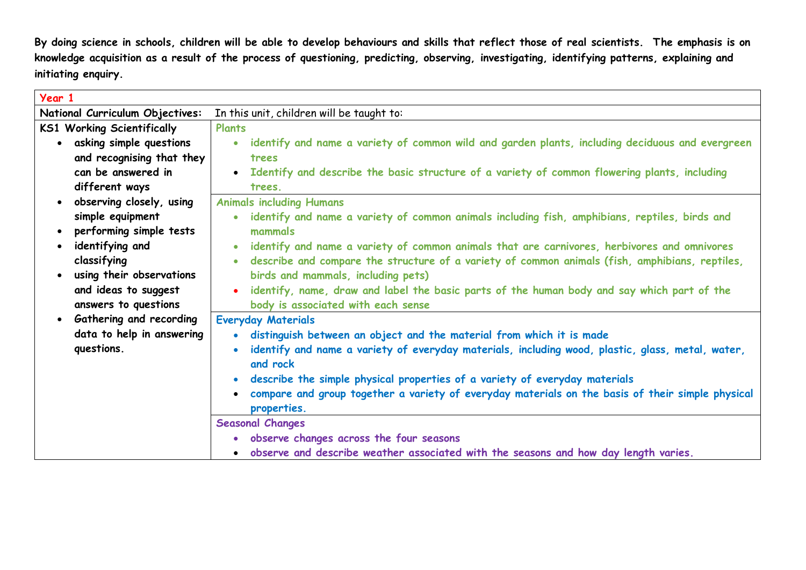| Year 1                                      |                                                                                                                   |
|---------------------------------------------|-------------------------------------------------------------------------------------------------------------------|
| <b>National Curriculum Objectives:</b>      | In this unit, children will be taught to:                                                                         |
| KS1 Working Scientifically                  | <b>Plants</b>                                                                                                     |
| asking simple questions<br>$\bullet$        | identify and name a variety of common wild and garden plants, including deciduous and evergreen<br>$\bullet$      |
| and recognising that they                   | trees                                                                                                             |
| can be answered in                          | • Identify and describe the basic structure of a variety of common flowering plants, including                    |
| different ways                              | trees.                                                                                                            |
| • observing closely, using                  | <b>Animals including Humans</b>                                                                                   |
| simple equipment                            | • identify and name a variety of common animals including fish, amphibians, reptiles, birds and                   |
| performing simple tests<br>$\bullet$        | mammals                                                                                                           |
| identifying and<br>$\bullet$                | identify and name a variety of common animals that are carnivores, herbivores and omnivores<br>$\bullet$          |
| classifying                                 | describe and compare the structure of a variety of common animals (fish, amphibians, reptiles,<br>$\bullet$       |
| using their observations<br>$\bullet$       | birds and mammals, including pets)                                                                                |
| and ideas to suggest                        | identify, name, draw and label the basic parts of the human body and say which part of the<br>$\bullet$           |
| answers to questions                        | body is associated with each sense                                                                                |
| <b>Gathering and recording</b><br>$\bullet$ | <b>Everyday Materials</b>                                                                                         |
| data to help in answering                   | distinguish between an object and the material from which it is made                                              |
| questions.                                  | identify and name a variety of everyday materials, including wood, plastic, glass, metal, water,<br>and rock      |
|                                             | describe the simple physical properties of a variety of everyday materials<br>$\bullet$                           |
|                                             | • compare and group together a variety of everyday materials on the basis of their simple physical<br>properties. |
|                                             | <b>Seasonal Changes</b>                                                                                           |
|                                             | • observe changes across the four seasons                                                                         |
|                                             | · observe and describe weather associated with the seasons and how day length varies.                             |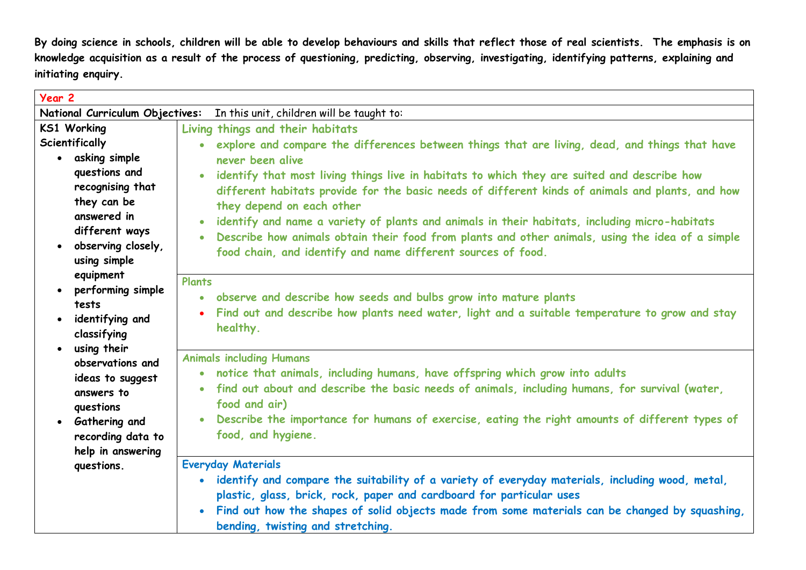| Year 2                          |                                                                                                             |
|---------------------------------|-------------------------------------------------------------------------------------------------------------|
| National Curriculum Objectives: | In this unit, children will be taught to:                                                                   |
| KS1 Working                     | Living things and their habitats                                                                            |
| Scientifically                  | explore and compare the differences between things that are living, dead, and things that have              |
| • asking simple                 | never been alive                                                                                            |
| questions and                   | identify that most living things live in habitats to which they are suited and describe how<br>$\bullet$    |
| recognising that                | different habitats provide for the basic needs of different kinds of animals and plants, and how            |
| they can be                     | they depend on each other                                                                                   |
| answered in                     | identify and name a variety of plants and animals in their habitats, including micro-habitats               |
| different ways                  | Describe how animals obtain their food from plants and other animals, using the idea of a simple            |
| observing closely,<br>$\bullet$ | food chain, and identify and name different sources of food.                                                |
| using simple                    |                                                                                                             |
| equipment                       | Plants                                                                                                      |
| performing simple<br>tests      | • observe and describe how seeds and bulbs grow into mature plants                                          |
| identifying and                 | Find out and describe how plants need water, light and a suitable temperature to grow and stay<br>$\bullet$ |
| classifying                     | healthy.                                                                                                    |
| • using their                   |                                                                                                             |
| observations and                | <b>Animals including Humans</b>                                                                             |
| ideas to suggest                | notice that animals, including humans, have offspring which grow into adults                                |
| answers to                      | find out about and describe the basic needs of animals, including humans, for survival (water,              |
| questions                       | food and air)                                                                                               |
| • Gathering and                 | Describe the importance for humans of exercise, eating the right amounts of different types of              |
| recording data to               | food, and hygiene.                                                                                          |
| help in answering               |                                                                                                             |
| questions.                      | <b>Everyday Materials</b>                                                                                   |
|                                 | identify and compare the suitability of a variety of everyday materials, including wood, metal,             |
|                                 | plastic, glass, brick, rock, paper and cardboard for particular uses                                        |
|                                 | Find out how the shapes of solid objects made from some materials can be changed by squashing,              |
|                                 | bending, twisting and stretching.                                                                           |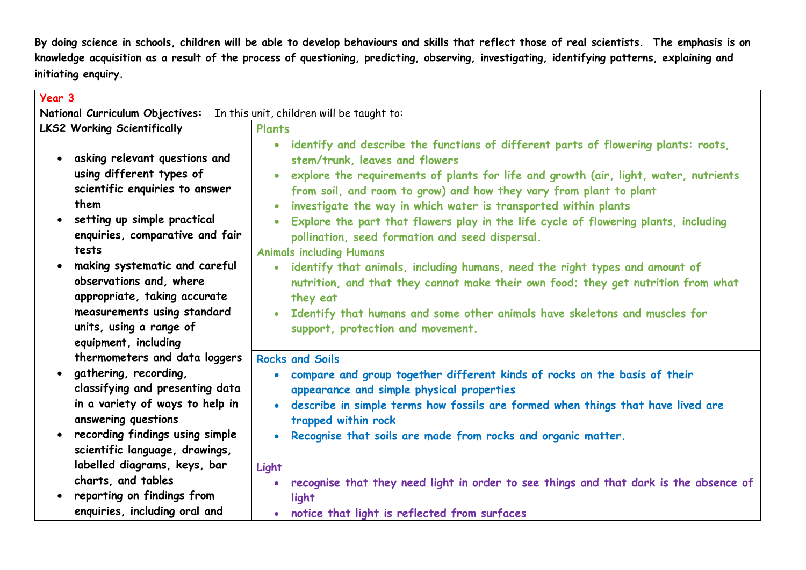| Year 3                                                                                                                                                                                                                   |                                                                                                                                                                                                                                                                                                                                                                                                                                                                                       |  |
|--------------------------------------------------------------------------------------------------------------------------------------------------------------------------------------------------------------------------|---------------------------------------------------------------------------------------------------------------------------------------------------------------------------------------------------------------------------------------------------------------------------------------------------------------------------------------------------------------------------------------------------------------------------------------------------------------------------------------|--|
| In this unit, children will be taught to:<br>National Curriculum Objectives:                                                                                                                                             |                                                                                                                                                                                                                                                                                                                                                                                                                                                                                       |  |
| <b>LKS2 Working Scientifically</b>                                                                                                                                                                                       | Plants                                                                                                                                                                                                                                                                                                                                                                                                                                                                                |  |
| asking relevant questions and<br>using different types of<br>scientific enquiries to answer<br>them<br>• setting up simple practical                                                                                     | • identify and describe the functions of different parts of flowering plants: roots,<br>stem/trunk, leaves and flowers<br>explore the requirements of plants for life and growth (air, light, water, nutrients<br>$\bullet$<br>from soil, and room to grow) and how they vary from plant to plant<br>investigate the way in which water is transported within plants<br>$\bullet$<br>Explore the part that flowers play in the life cycle of flowering plants, including<br>$\bullet$ |  |
| enquiries, comparative and fair<br>tests                                                                                                                                                                                 | pollination, seed formation and seed dispersal.<br><b>Animals including Humans</b>                                                                                                                                                                                                                                                                                                                                                                                                    |  |
| making systematic and careful<br>observations and, where<br>appropriate, taking accurate<br>measurements using standard<br>units, using a range of<br>equipment, including                                               | identify that animals, including humans, need the right types and amount of<br>$\bullet$<br>nutrition, and that they cannot make their own food; they get nutrition from what<br>they eat<br>Identify that humans and some other animals have skeletons and muscles for<br>support, protection and movement.                                                                                                                                                                          |  |
| thermometers and data loggers<br>gathering, recording,<br>classifying and presenting data<br>in a variety of ways to help in<br>answering questions<br>recording findings using simple<br>scientific language, drawings, | <b>Rocks and Soils</b><br>compare and group together different kinds of rocks on the basis of their<br>$\bullet$<br>appearance and simple physical properties<br>describe in simple terms how fossils are formed when things that have lived are<br>$\bullet$<br>trapped within rock<br>Recognise that soils are made from rocks and organic matter.<br>$\bullet$                                                                                                                     |  |
| labelled diagrams, keys, bar<br>charts, and tables<br>reporting on findings from<br>enquiries, including oral and                                                                                                        | Light<br>recognise that they need light in order to see things and that dark is the absence of<br>$\bullet$<br>light<br>notice that light is reflected from surfaces<br>$\bullet$                                                                                                                                                                                                                                                                                                     |  |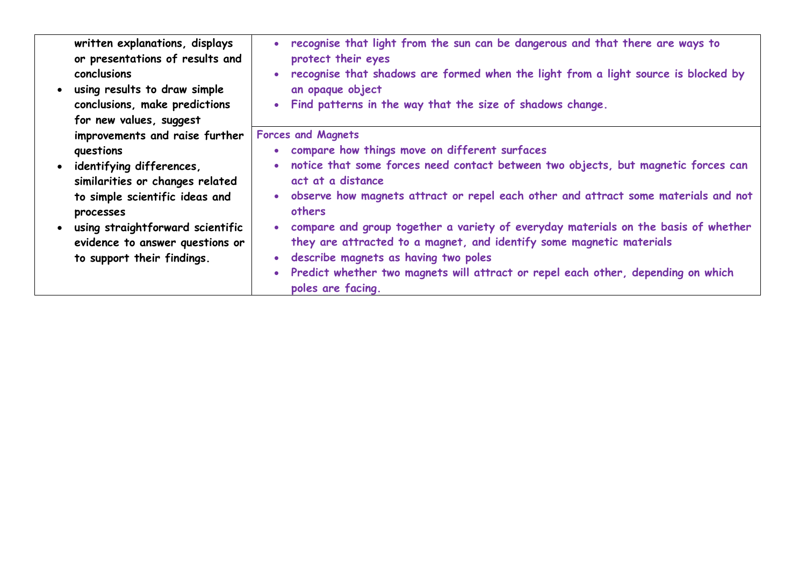**written explanations, displays or presentations of results and conclusions** 

• **using results to draw simple conclusions, make predictions for new values, suggest improvements and raise further questions** 

• **identifying differences, similarities or changes related to simple scientific ideas and processes** 

• **using straightforward scientific evidence to answer questions or to support their findings.** 

• **recognise that light from the sun can be dangerous and that there are ways to protect their eyes** 

• **recognise that shadows are formed when the light from a light source is blocked by an opaque object** 

• **Find patterns in the way that the size of shadows change.**

**Forces and Magnets**

- **compare how things move on different surfaces**
- **notice that some forces need contact between two objects, but magnetic forces can act at a distance**
- **observe how magnets attract or repel each other and attract some materials and not others**
- **compare and group together a variety of everyday materials on the basis of whether they are attracted to a magnet, and identify some magnetic materials**
- **describe magnets as having two poles**
- **Predict whether two magnets will attract or repel each other, depending on which poles are facing.**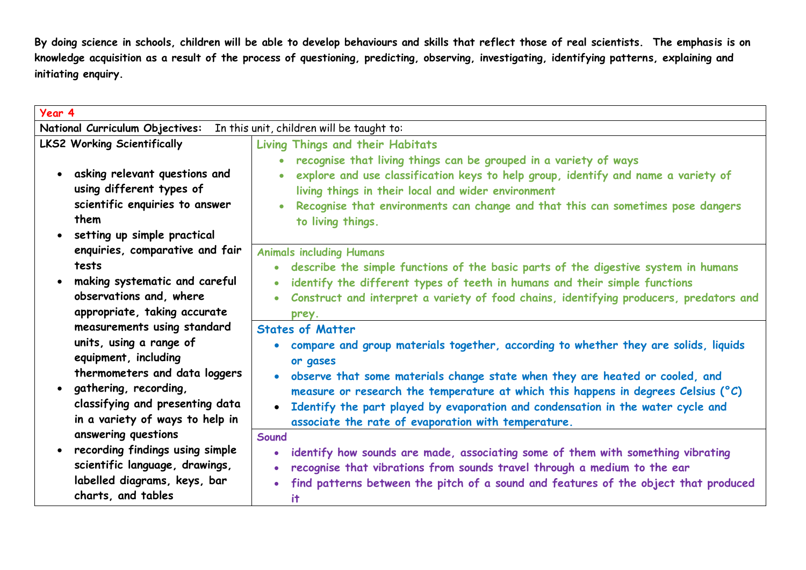| Year 4                                                                                                                                                                                                         |                                                                                                                                                                                                                                                                                                                                                                                                                                                                                  |
|----------------------------------------------------------------------------------------------------------------------------------------------------------------------------------------------------------------|----------------------------------------------------------------------------------------------------------------------------------------------------------------------------------------------------------------------------------------------------------------------------------------------------------------------------------------------------------------------------------------------------------------------------------------------------------------------------------|
| National Curriculum Objectives: In this unit, children will be taught to:                                                                                                                                      |                                                                                                                                                                                                                                                                                                                                                                                                                                                                                  |
| <b>LKS2 Working Scientifically</b>                                                                                                                                                                             | Living Things and their Habitats                                                                                                                                                                                                                                                                                                                                                                                                                                                 |
| asking relevant questions and<br>using different types of<br>scientific enquiries to answer<br>them<br>setting up simple practical                                                                             | recognise that living things can be grouped in a variety of ways<br>. explore and use classification keys to help group, identify and name a variety of<br>living things in their local and wider environment<br>Recognise that environments can change and that this can sometimes pose dangers<br>to living things.                                                                                                                                                            |
| enquiries, comparative and fair<br>tests<br>making systematic and careful<br>observations and, where<br>appropriate, taking accurate                                                                           | <b>Animals including Humans</b><br>describe the simple functions of the basic parts of the digestive system in humans<br>$\bullet$<br>identify the different types of teeth in humans and their simple functions<br>$\bullet$<br>Construct and interpret a variety of food chains, identifying producers, predators and<br>$\bullet$<br>prey.                                                                                                                                    |
| measurements using standard<br>units, using a range of<br>equipment, including<br>thermometers and data loggers<br>gathering, recording,<br>classifying and presenting data<br>in a variety of ways to help in | <b>States of Matter</b><br>compare and group materials together, according to whether they are solids, liquids<br>$\bullet$<br>or gases<br>• observe that some materials change state when they are heated or cooled, and<br>measure or research the temperature at which this happens in degrees Celsius ( $^{\circ}$ C)<br>Identify the part played by evaporation and condensation in the water cycle and<br>$\bullet$<br>associate the rate of evaporation with temperature. |
| answering questions<br>recording findings using simple<br>scientific language, drawings,<br>labelled diagrams, keys, bar<br>charts, and tables                                                                 | Sound<br>identify how sounds are made, associating some of them with something vibrating<br>$\bullet$<br>recognise that vibrations from sounds travel through a medium to the ear<br>$\bullet$<br>find patterns between the pitch of a sound and features of the object that produced<br>$\bullet$<br>it.                                                                                                                                                                        |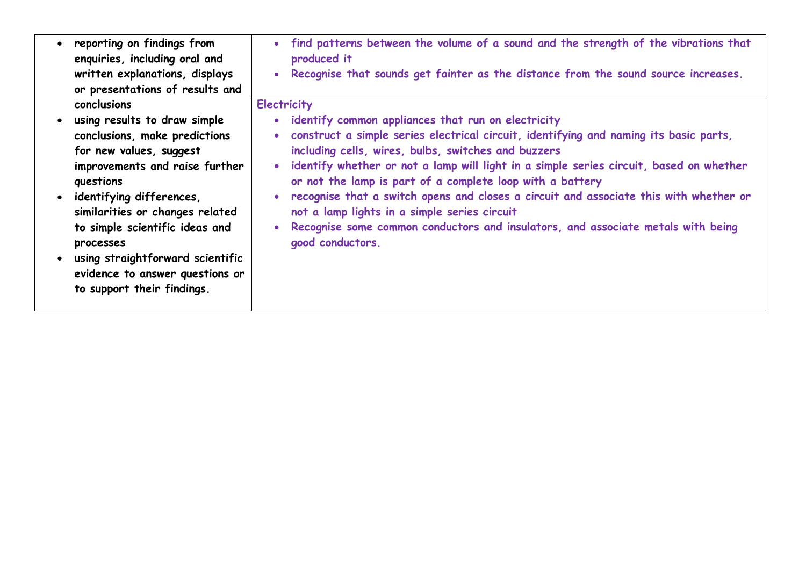- **reporting on findings from enquiries, including oral and written explanations, displays or presentations of results and conclusions**
- **using results to draw simple conclusions, make predictions for new values, suggest improvements and raise further questions**
- **identifying differences, similarities or changes related to simple scientific ideas and processes**
- **using straightforward scientific evidence to answer questions or to support their findings.**
- **find patterns between the volume of a sound and the strength of the vibrations that produced it**
- **Recognise that sounds get fainter as the distance from the sound source increases.**

**Electricity**

- **identify common appliances that run on electricity**
- **construct a simple series electrical circuit, identifying and naming its basic parts, including cells, wires, bulbs, switches and buzzers**
- **identify whether or not a lamp will light in a simple series circuit, based on whether or not the lamp is part of a complete loop with a battery**
- **recognise that a switch opens and closes a circuit and associate this with whether or not a lamp lights in a simple series circuit**
- **Recognise some common conductors and insulators, and associate metals with being good conductors.**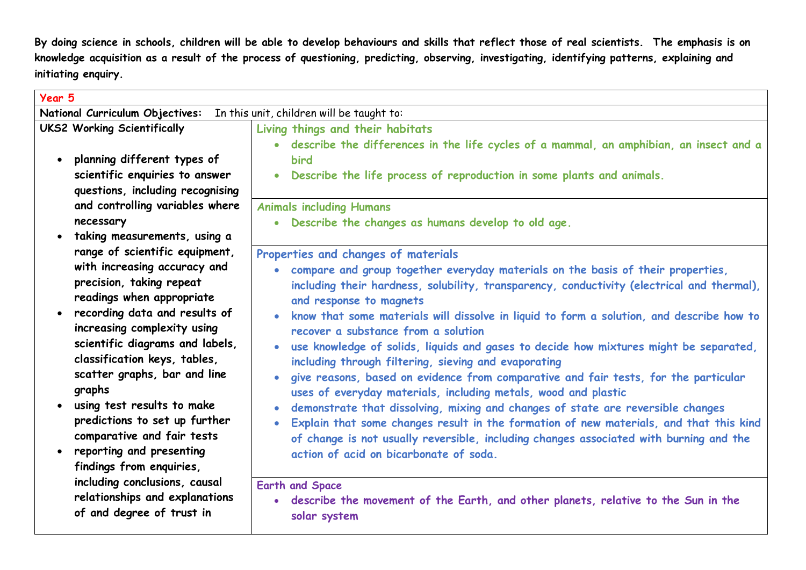| Year 5                                                                                                                                                                                                                                                                                                                                                                                                                                                          |                                                                                                                                                                                                                                                                                                                                                                                                                                                                                                                                                                                                                                                                                                                                                                                                                                                                                                                                                                                                                                                                                |
|-----------------------------------------------------------------------------------------------------------------------------------------------------------------------------------------------------------------------------------------------------------------------------------------------------------------------------------------------------------------------------------------------------------------------------------------------------------------|--------------------------------------------------------------------------------------------------------------------------------------------------------------------------------------------------------------------------------------------------------------------------------------------------------------------------------------------------------------------------------------------------------------------------------------------------------------------------------------------------------------------------------------------------------------------------------------------------------------------------------------------------------------------------------------------------------------------------------------------------------------------------------------------------------------------------------------------------------------------------------------------------------------------------------------------------------------------------------------------------------------------------------------------------------------------------------|
| National Curriculum Objectives:<br>In this unit, children will be taught to:                                                                                                                                                                                                                                                                                                                                                                                    |                                                                                                                                                                                                                                                                                                                                                                                                                                                                                                                                                                                                                                                                                                                                                                                                                                                                                                                                                                                                                                                                                |
| <b>UKS2 Working Scientifically</b>                                                                                                                                                                                                                                                                                                                                                                                                                              | Living things and their habitats                                                                                                                                                                                                                                                                                                                                                                                                                                                                                                                                                                                                                                                                                                                                                                                                                                                                                                                                                                                                                                               |
| planning different types of                                                                                                                                                                                                                                                                                                                                                                                                                                     | • describe the differences in the life cycles of a mammal, an amphibian, an insect and a                                                                                                                                                                                                                                                                                                                                                                                                                                                                                                                                                                                                                                                                                                                                                                                                                                                                                                                                                                                       |
| $\bullet$                                                                                                                                                                                                                                                                                                                                                                                                                                                       | <b>bird</b>                                                                                                                                                                                                                                                                                                                                                                                                                                                                                                                                                                                                                                                                                                                                                                                                                                                                                                                                                                                                                                                                    |
| scientific enquiries to answer                                                                                                                                                                                                                                                                                                                                                                                                                                  | Describe the life process of reproduction in some plants and animals.                                                                                                                                                                                                                                                                                                                                                                                                                                                                                                                                                                                                                                                                                                                                                                                                                                                                                                                                                                                                          |
| questions, including recognising                                                                                                                                                                                                                                                                                                                                                                                                                                | $\bullet$                                                                                                                                                                                                                                                                                                                                                                                                                                                                                                                                                                                                                                                                                                                                                                                                                                                                                                                                                                                                                                                                      |
| and controlling variables where                                                                                                                                                                                                                                                                                                                                                                                                                                 | <b>Animals including Humans</b>                                                                                                                                                                                                                                                                                                                                                                                                                                                                                                                                                                                                                                                                                                                                                                                                                                                                                                                                                                                                                                                |
| necessary                                                                                                                                                                                                                                                                                                                                                                                                                                                       | Describe the changes as humans develop to old age.                                                                                                                                                                                                                                                                                                                                                                                                                                                                                                                                                                                                                                                                                                                                                                                                                                                                                                                                                                                                                             |
| · taking measurements, using a                                                                                                                                                                                                                                                                                                                                                                                                                                  | $\bullet$                                                                                                                                                                                                                                                                                                                                                                                                                                                                                                                                                                                                                                                                                                                                                                                                                                                                                                                                                                                                                                                                      |
| range of scientific equipment,<br>with increasing accuracy and<br>precision, taking repeat<br>readings when appropriate<br>• recording data and results of<br>increasing complexity using<br>scientific diagrams and labels,<br>classification keys, tables,<br>scatter graphs, bar and line<br>graphs<br>. using test results to make<br>predictions to set up further<br>comparative and fair tests<br>• reporting and presenting<br>findings from enquiries, | Properties and changes of materials<br>compare and group together everyday materials on the basis of their properties,<br>$\bullet$<br>including their hardness, solubility, transparency, conductivity (electrical and thermal),<br>and response to magnets<br>know that some materials will dissolve in liquid to form a solution, and describe how to<br>recover a substance from a solution<br>use knowledge of solids, liquids and gases to decide how mixtures might be separated,<br>$\bullet$<br>including through filtering, sieving and evaporating<br>give reasons, based on evidence from comparative and fair tests, for the particular<br>$\bullet$<br>uses of everyday materials, including metals, wood and plastic<br>demonstrate that dissolving, mixing and changes of state are reversible changes<br>$\bullet$<br>Explain that some changes result in the formation of new materials, and that this kind<br>$\bullet$<br>of change is not usually reversible, including changes associated with burning and the<br>action of acid on bicarbonate of soda. |
| including conclusions, causal                                                                                                                                                                                                                                                                                                                                                                                                                                   | <b>Earth and Space</b>                                                                                                                                                                                                                                                                                                                                                                                                                                                                                                                                                                                                                                                                                                                                                                                                                                                                                                                                                                                                                                                         |
| relationships and explanations                                                                                                                                                                                                                                                                                                                                                                                                                                  | describe the movement of the Earth, and other planets, relative to the Sun in the                                                                                                                                                                                                                                                                                                                                                                                                                                                                                                                                                                                                                                                                                                                                                                                                                                                                                                                                                                                              |
| of and degree of trust in                                                                                                                                                                                                                                                                                                                                                                                                                                       | solar system                                                                                                                                                                                                                                                                                                                                                                                                                                                                                                                                                                                                                                                                                                                                                                                                                                                                                                                                                                                                                                                                   |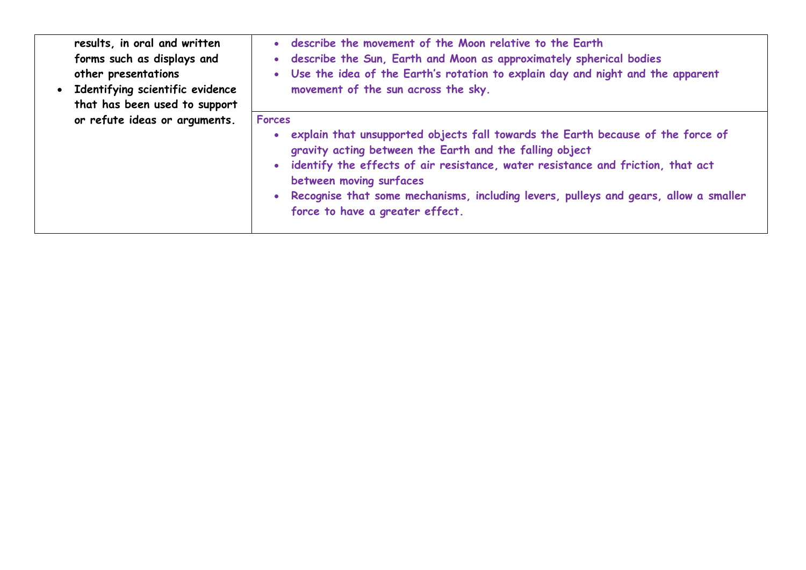**results, in oral and written forms such as displays and other presentations** 

- **Identifying scientific evidence that has been used to support or refute ideas or arguments.**
- **describe the movement of the Moon relative to the Earth**
- **describe the Sun, Earth and Moon as approximately spherical bodies**
- **Use the idea of the Earth's rotation to explain day and night and the apparent movement of the sun across the sky.**

**Forces**

- **explain that unsupported objects fall towards the Earth because of the force of gravity acting between the Earth and the falling object**
- **identify the effects of air resistance, water resistance and friction, that act between moving surfaces**
- **Recognise that some mechanisms, including levers, pulleys and gears, allow a smaller force to have a greater effect.**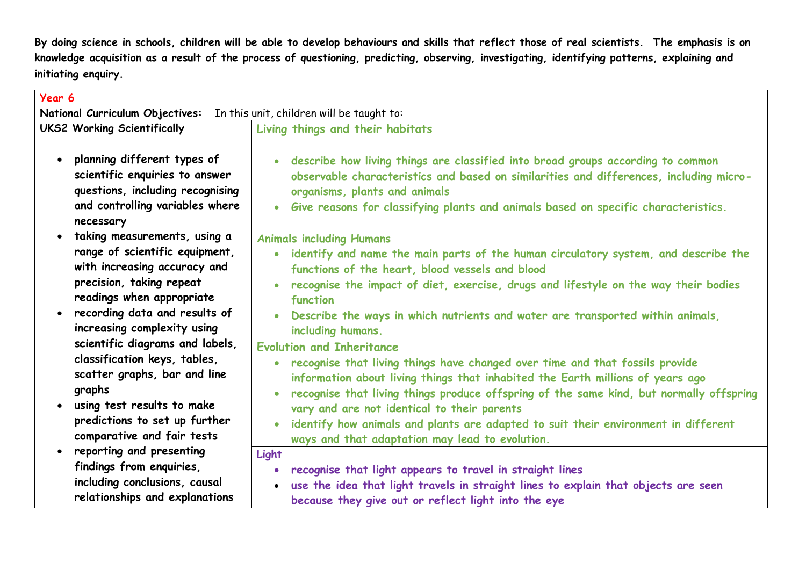| Year 6                                                                                                                                                                                                                    |                                                                                                                                                                                                                                                                                                                                                                                                                                                                                                    |
|---------------------------------------------------------------------------------------------------------------------------------------------------------------------------------------------------------------------------|----------------------------------------------------------------------------------------------------------------------------------------------------------------------------------------------------------------------------------------------------------------------------------------------------------------------------------------------------------------------------------------------------------------------------------------------------------------------------------------------------|
| National Curriculum Objectives: In this unit, children will be taught to:                                                                                                                                                 |                                                                                                                                                                                                                                                                                                                                                                                                                                                                                                    |
| <b>UKS2 Working Scientifically</b>                                                                                                                                                                                        | Living things and their habitats                                                                                                                                                                                                                                                                                                                                                                                                                                                                   |
| planning different types of<br>$\bullet$<br>scientific enquiries to answer<br>questions, including recognising<br>and controlling variables where<br>necessary                                                            | • describe how living things are classified into broad groups according to common<br>observable characteristics and based on similarities and differences, including micro-<br>organisms, plants and animals<br>Give reasons for classifying plants and animals based on specific characteristics.                                                                                                                                                                                                 |
| taking measurements, using a<br>range of scientific equipment,<br>with increasing accuracy and<br>precision, taking repeat<br>readings when appropriate<br>• recording data and results of<br>increasing complexity using | <b>Animals including Humans</b><br>• identify and name the main parts of the human circulatory system, and describe the<br>functions of the heart, blood vessels and blood<br>recognise the impact of diet, exercise, drugs and lifestyle on the way their bodies<br>function<br>Describe the ways in which nutrients and water are transported within animals,<br>$\bullet$<br>including humans.                                                                                                  |
| scientific diagrams and labels,<br>classification keys, tables,<br>scatter graphs, bar and line<br>graphs<br>· using test results to make<br>predictions to set up further<br>comparative and fair tests                  | <b>Evolution and Inheritance</b><br>recognise that living things have changed over time and that fossils provide<br>$\bullet$<br>information about living things that inhabited the Earth millions of years ago<br>recognise that living things produce offspring of the same kind, but normally offspring<br>vary and are not identical to their parents<br>identify how animals and plants are adapted to suit their environment in different<br>ways and that adaptation may lead to evolution. |
| • reporting and presenting<br>findings from enquiries,<br>including conclusions, causal<br>relationships and explanations                                                                                                 | Light<br>recognise that light appears to travel in straight lines<br>$\bullet$<br>use the idea that light travels in straight lines to explain that objects are seen<br>$\bullet$<br>because they give out or reflect light into the eye                                                                                                                                                                                                                                                           |